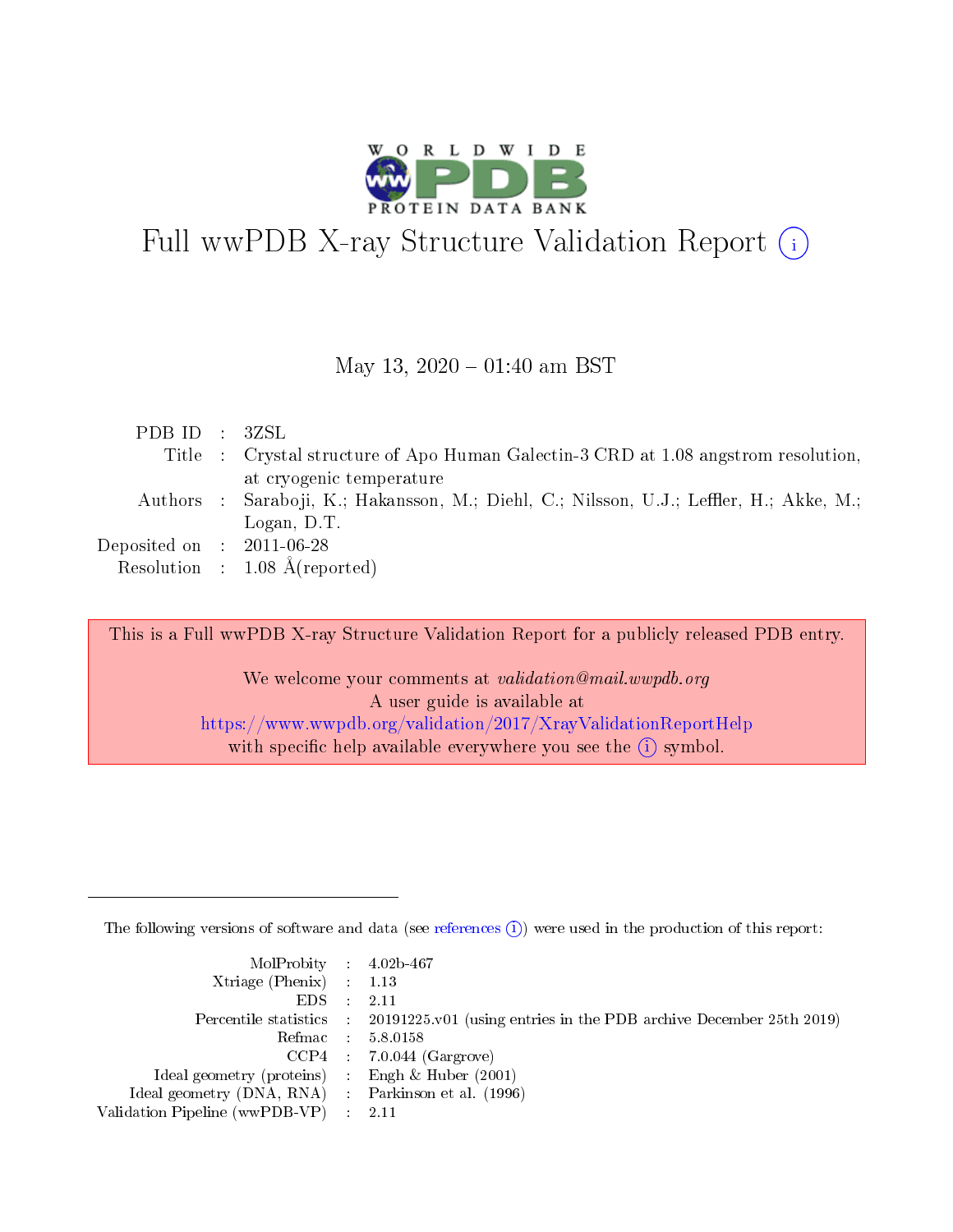

# Full wwPDB X-ray Structure Validation Report  $(i)$

#### May 13,  $2020 - 01:40$  am BST

| PDBID : 3ZSL                |                                                                                                                                     |
|-----------------------------|-------------------------------------------------------------------------------------------------------------------------------------|
|                             | Title : Crystal structure of Apo Human Galectin-3 CRD at 1.08 angstrom resolution,                                                  |
|                             | at cryogenic temperature<br>Authors: Saraboji, K.; Hakansson, M.; Diehl, C.; Nilsson, U.J.; Leffler, H.; Akke, M.;<br>Logan, $D.T.$ |
| Deposited on : $2011-06-28$ | Resolution : $1.08 \text{ Å}$ (reported)                                                                                            |

This is a Full wwPDB X-ray Structure Validation Report for a publicly released PDB entry.

We welcome your comments at *validation@mail.wwpdb.org* A user guide is available at <https://www.wwpdb.org/validation/2017/XrayValidationReportHelp> with specific help available everywhere you see the  $(i)$  symbol.

The following versions of software and data (see [references](https://www.wwpdb.org/validation/2017/XrayValidationReportHelp#references)  $(i)$ ) were used in the production of this report:

| $MolProbability$ 4.02b-467                          |                                                                                            |
|-----------------------------------------------------|--------------------------------------------------------------------------------------------|
| Xtriage (Phenix) $: 1.13$                           |                                                                                            |
| EDS -                                               | -2.11                                                                                      |
|                                                     | Percentile statistics : 20191225.v01 (using entries in the PDB archive December 25th 2019) |
|                                                     | Refmac 58.0158                                                                             |
|                                                     | $CCP4$ : 7.0.044 (Gargrove)                                                                |
| Ideal geometry (proteins) : Engh $\&$ Huber (2001)  |                                                                                            |
| Ideal geometry (DNA, RNA) : Parkinson et al. (1996) |                                                                                            |
| Validation Pipeline (wwPDB-VP) :                    | -2.11                                                                                      |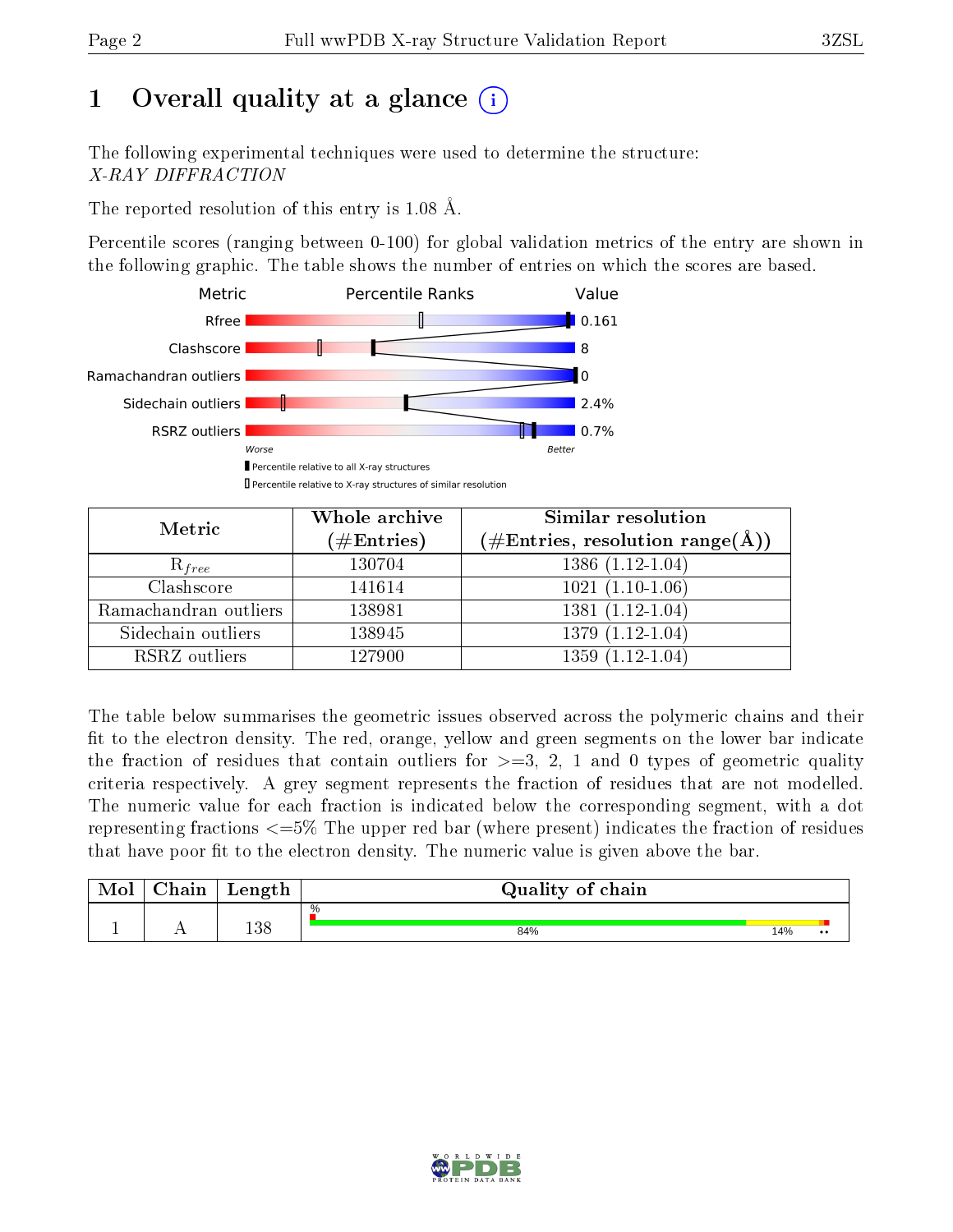# 1 [O](https://www.wwpdb.org/validation/2017/XrayValidationReportHelp#overall_quality)verall quality at a glance  $(i)$

The following experimental techniques were used to determine the structure: X-RAY DIFFRACTION

The reported resolution of this entry is 1.08 Å.

Percentile scores (ranging between 0-100) for global validation metrics of the entry are shown in the following graphic. The table shows the number of entries on which the scores are based.



| Metric                | Whole archive<br>$(\#\mathrm{Entries})$ | Similar resolution<br>$(\#\text{Entries}, \, \text{resolution range}(\textup{\AA}))$ |
|-----------------------|-----------------------------------------|--------------------------------------------------------------------------------------|
| $R_{free}$            | 130704                                  | $1386(1.12-1.04)$                                                                    |
| Clashscore            | 141614                                  | $1021(1.10-1.06)$                                                                    |
| Ramachandran outliers | 138981                                  | $1381(1.12-1.04)$                                                                    |
| Sidechain outliers    | 138945                                  | $1379(1.12-1.04)$                                                                    |
| RSRZ outliers         | 127900                                  | $1359(1.12-1.04)$                                                                    |

The table below summarises the geometric issues observed across the polymeric chains and their fit to the electron density. The red, orange, yellow and green segments on the lower bar indicate the fraction of residues that contain outliers for  $>=3, 2, 1$  and 0 types of geometric quality criteria respectively. A grey segment represents the fraction of residues that are not modelled. The numeric value for each fraction is indicated below the corresponding segment, with a dot representing fractions  $\epsilon=5\%$  The upper red bar (where present) indicates the fraction of residues that have poor fit to the electron density. The numeric value is given above the bar.

| Mol | $\cap$ hain | Length | Quality of chain |     |                  |
|-----|-------------|--------|------------------|-----|------------------|
|     |             |        | %                |     |                  |
| л.  | . .         | 138    | 84%              | 14% | $\bullet\bullet$ |

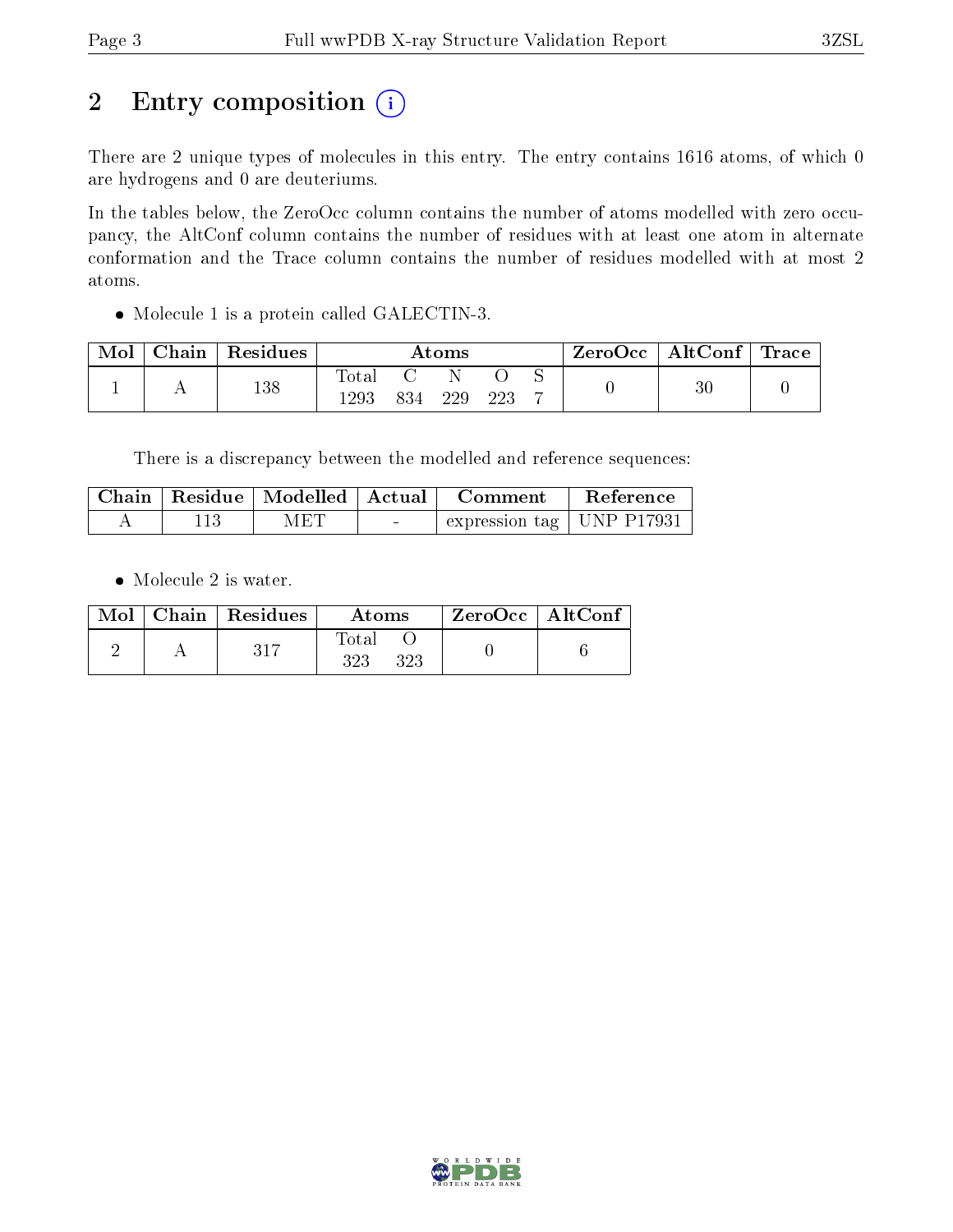# 2 Entry composition (i)

There are 2 unique types of molecules in this entry. The entry contains 1616 atoms, of which 0 are hydrogens and 0 are deuteriums.

In the tables below, the ZeroOcc column contains the number of atoms modelled with zero occupancy, the AltConf column contains the number of residues with at least one atom in alternate conformation and the Trace column contains the number of residues modelled with at most 2 atoms.

Molecule 1 is a protein called GALECTIN-3.

| Mol | $\operatorname{Chain}$ | Residues | $\rm{Atoms}$ |  |     | ZeroOcc | $\mid$ AltConf $\mid$ Trace |  |    |  |
|-----|------------------------|----------|--------------|--|-----|---------|-----------------------------|--|----|--|
|     |                        | 138      | .ota<br>1293 |  | 229 | າາາ     |                             |  | 30 |  |

There is a discrepancy between the modelled and reference sequences:

|  | Chain   Residue   Modelled   Actual |                                   | – Comment                   | Reference |
|--|-------------------------------------|-----------------------------------|-----------------------------|-----------|
|  | MET                                 | <b>Contract Contract Contract</b> | expression tag   UNP P17931 |           |

• Molecule 2 is water.

|  | $Mol$   Chain   Residues | Atoms               | $\rm ZeroOcc \mid AltConf$ |  |
|--|--------------------------|---------------------|----------------------------|--|
|  |                          | Total<br>323<br>323 |                            |  |

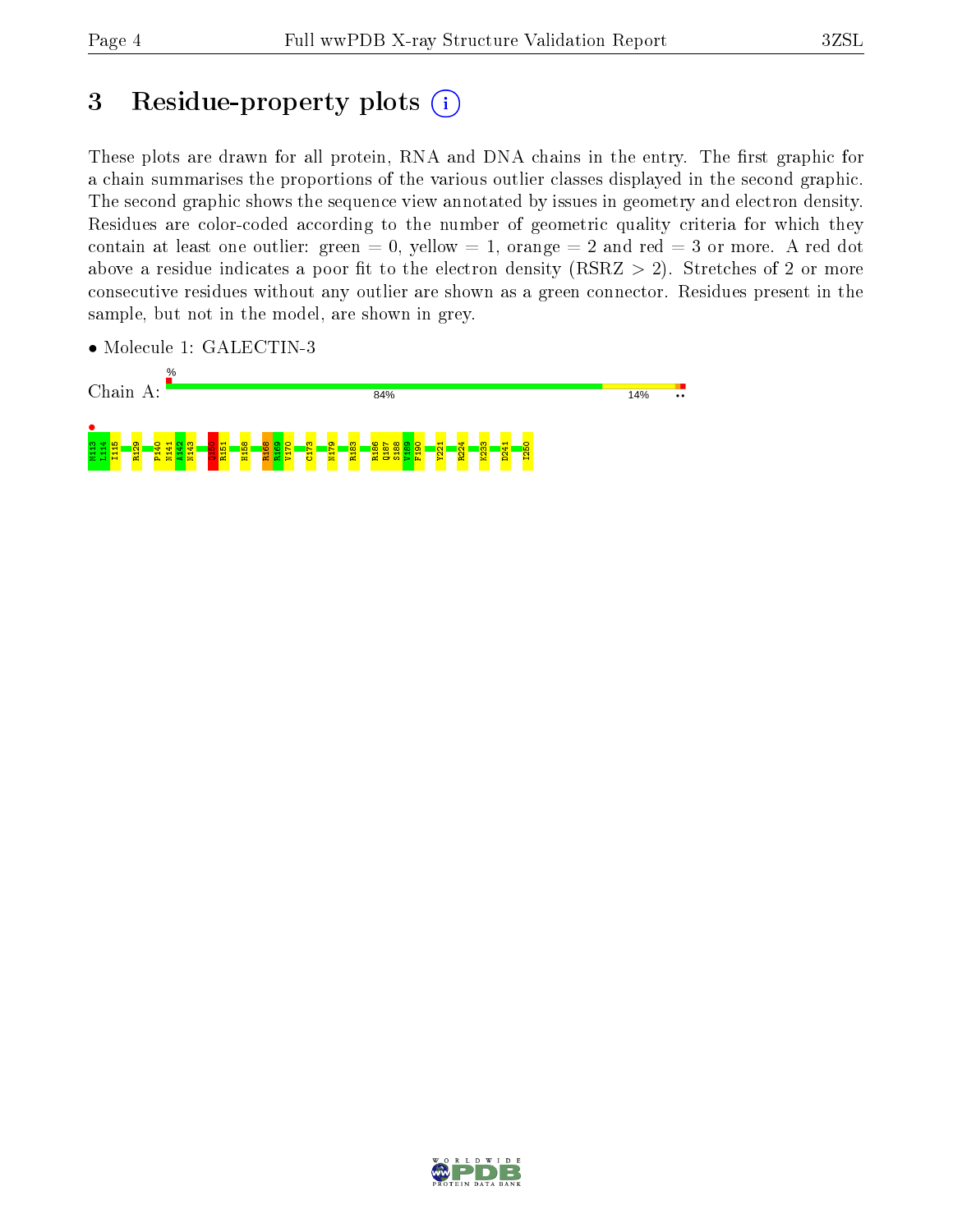# 3 Residue-property plots  $(i)$

These plots are drawn for all protein, RNA and DNA chains in the entry. The first graphic for a chain summarises the proportions of the various outlier classes displayed in the second graphic. The second graphic shows the sequence view annotated by issues in geometry and electron density. Residues are color-coded according to the number of geometric quality criteria for which they contain at least one outlier: green  $= 0$ , yellow  $= 1$ , orange  $= 2$  and red  $= 3$  or more. A red dot above a residue indicates a poor fit to the electron density (RSRZ  $> 2$ ). Stretches of 2 or more consecutive residues without any outlier are shown as a green connector. Residues present in the sample, but not in the model, are shown in grey.

• Molecule 1: GALECTIN-3



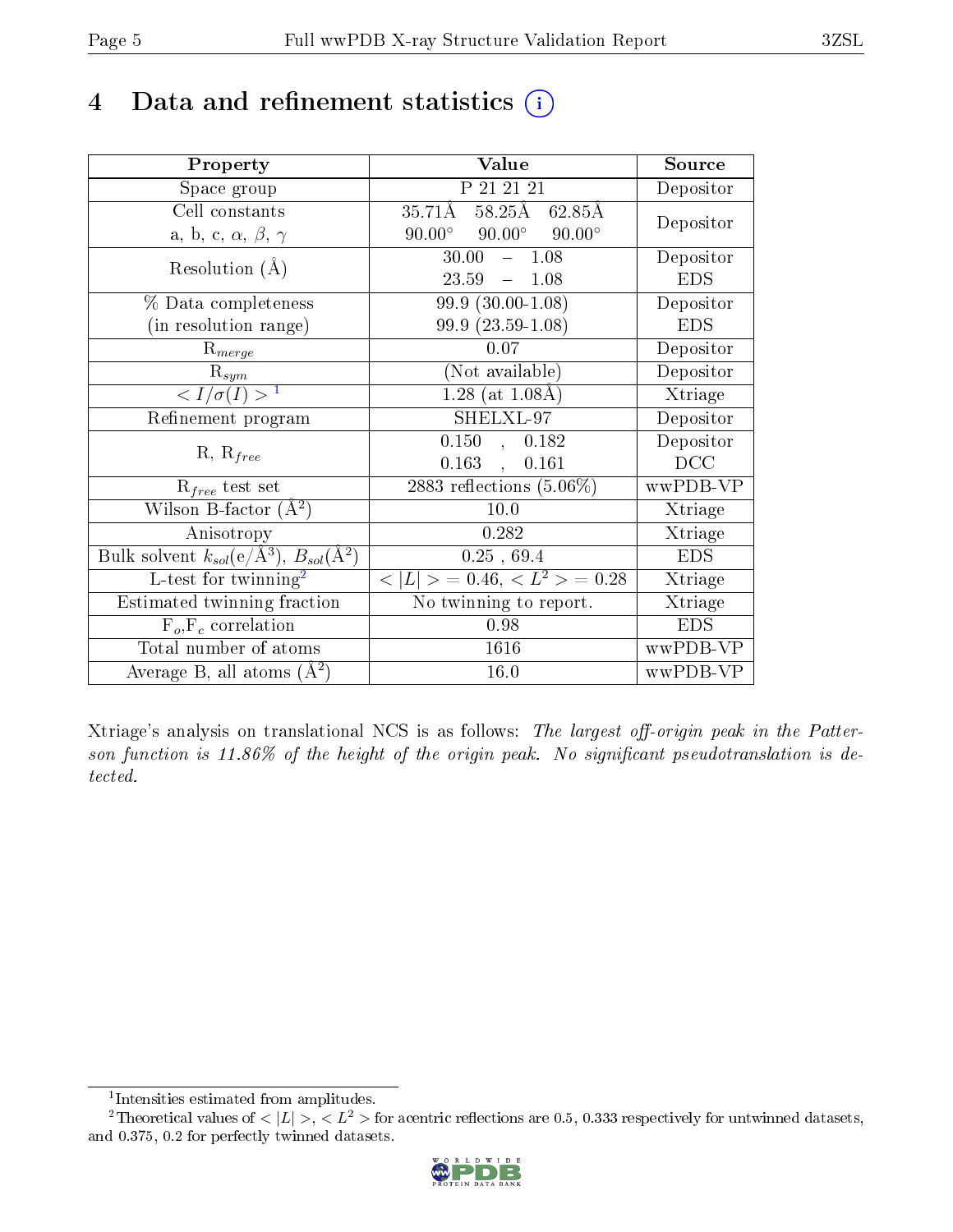## 4 Data and refinement statistics  $(i)$

| Property                                                                | Value                                            | Source         |
|-------------------------------------------------------------------------|--------------------------------------------------|----------------|
| Space group                                                             | P 21 21 21                                       | Depositor      |
| Cell constants                                                          | 58.25Å 62.85Å<br>$35.71\text{\AA}$               | Depositor      |
| a, b, c, $\alpha$ , $\beta$ , $\gamma$                                  | $90.00^{\circ}$ $90.00^{\circ}$<br>$90.00^\circ$ |                |
| Resolution $(A)$                                                        | 30.00<br>$-1.08$                                 | Depositor      |
|                                                                         | 23.59<br>1.08<br>$\frac{1}{2}$                   | <b>EDS</b>     |
| % Data completeness                                                     | $99.9(30.00-1.08)$                               | Depositor      |
| (in resolution range)                                                   | $99.9(23.59-1.08)$                               | <b>EDS</b>     |
| $R_{merge}$                                                             | 0.07                                             | Depositor      |
| $\mathbf{R}_{sym}$                                                      | (Not available)                                  | Depositor      |
| $\langle I/\sigma(I) \rangle^{-1}$                                      | $1.28$ (at $1.08\text{\AA}$ )                    | Xtriage        |
| Refinement program                                                      | SHELXL-97                                        | Depositor      |
|                                                                         | 0.150,<br>0.182                                  | Depositor      |
| $R, R_{free}$                                                           | $0.163$ ,<br>0.161                               | DCC            |
| $R_{free}$ test set                                                     | $2883$ reflections $(5.06\%)$                    | wwPDB-VP       |
| Wilson B-factor $(\AA^2)$                                               | $10.0\,$                                         | Xtriage        |
| Anisotropy                                                              | 0.282                                            | Xtriage        |
| Bulk solvent $k_{sol}(\mathrm{e}/\mathrm{A}^3),\,B_{sol}(\mathrm{A}^2)$ | 0.25, 69.4                                       | <b>EDS</b>     |
| L-test for $\mathrm{twinning}^2$                                        | $< L >$ = 0.46, $< L2 >$ = 0.28                  | Xtriage        |
| Estimated twinning fraction                                             | No twinning to report.                           | <b>Xtriage</b> |
| $F_o, F_c$ correlation                                                  | 0.98                                             | <b>EDS</b>     |
| Total number of atoms                                                   | 1616                                             | wwPDB-VP       |
| Average B, all atoms $(A^2)$                                            | 16.0                                             | wwPDB-VP       |

Xtriage's analysis on translational NCS is as follows: The largest off-origin peak in the Patterson function is  $11.86\%$  of the height of the origin peak. No significant pseudotranslation is detected.

<sup>&</sup>lt;sup>2</sup>Theoretical values of  $\langle |L| \rangle$ ,  $\langle L^2 \rangle$  for acentric reflections are 0.5, 0.333 respectively for untwinned datasets, and 0.375, 0.2 for perfectly twinned datasets.



<span id="page-4-1"></span><span id="page-4-0"></span><sup>1</sup> Intensities estimated from amplitudes.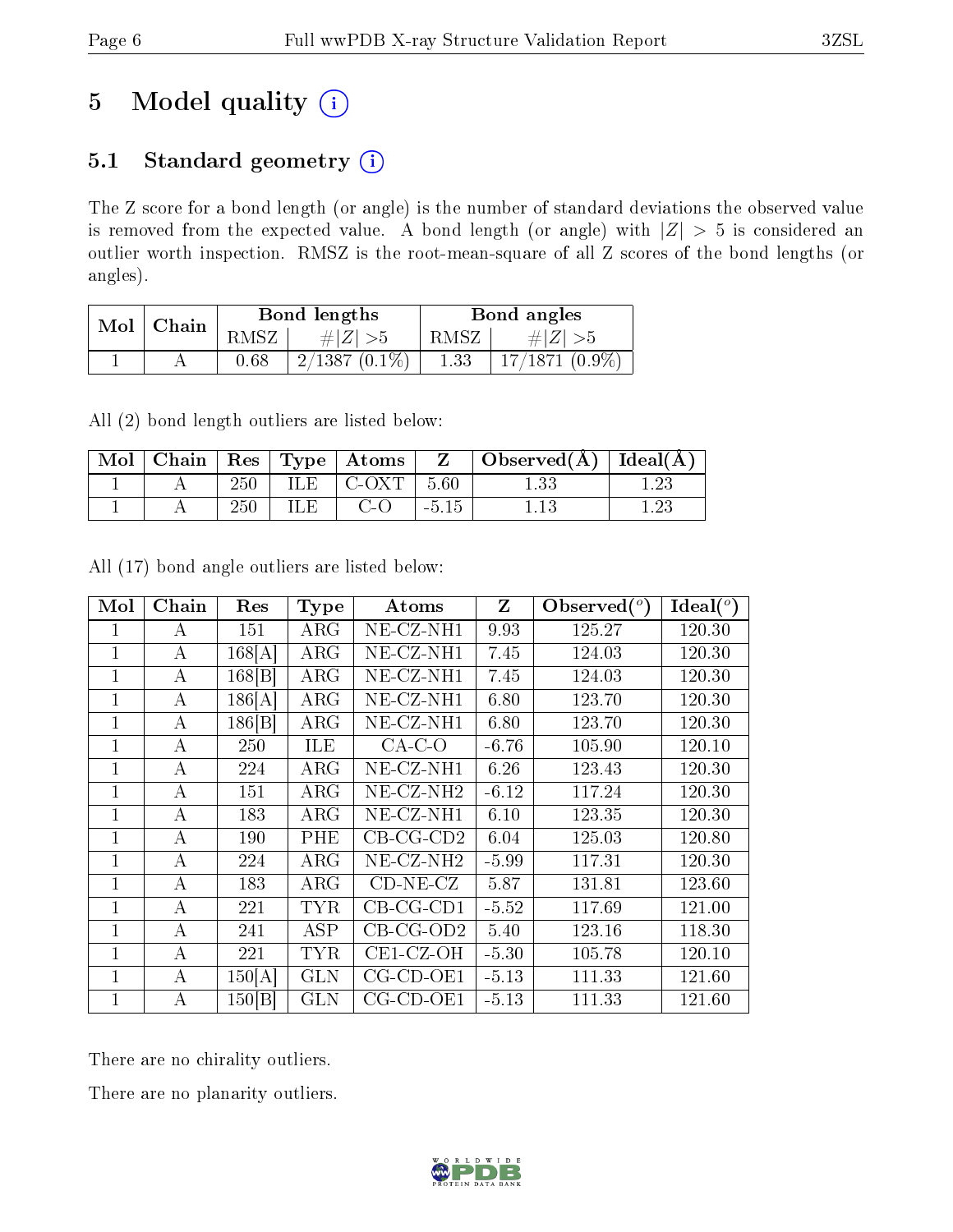# 5 Model quality  $(i)$

### 5.1 Standard geometry (i)

The Z score for a bond length (or angle) is the number of standard deviations the observed value is removed from the expected value. A bond length (or angle) with  $|Z| > 5$  is considered an outlier worth inspection. RMSZ is the root-mean-square of all Z scores of the bond lengths (or angles).

| Mol | Chain |      | Bond lengths    | Bond angles |                  |  |
|-----|-------|------|-----------------|-------------|------------------|--|
|     |       | RMSZ | # Z  > 5        | RMSZ        | $\# Z  > 5$      |  |
|     |       | 0.68 | $2/1387(0.1\%)$ | 1.33        | $17/1871~(0.9\%$ |  |

All (2) bond length outliers are listed below:

| Mol |     |      | $\top$ Chain $\top$ Res $\top$ Type $\top$ Atoms $\top$ |         | Observed $(A)$ | . $ \overline{\text{Ideal}}(\text{A}) $ |
|-----|-----|------|---------------------------------------------------------|---------|----------------|-----------------------------------------|
|     | 250 | ILE. | – C-OXT                                                 | 5.60    |                |                                         |
|     | 250 | ПE   | C-O                                                     | $-5.15$ |                |                                         |

All (17) bond angle outliers are listed below:

| Mol          | Chain | Res    | <b>Type</b> | Atoms               | Z       | $\mathbf{Observed}(^o)$ | Ideal $(^{\circ}$ |
|--------------|-------|--------|-------------|---------------------|---------|-------------------------|-------------------|
| 1            | А     | 151    | $\rm{ARG}$  | $NE-CZ-NH1$         | 9.93    | 125.27                  | 120.30            |
| 1            | А     | 168[A] | $\rm{ARG}$  | $NE- CZ-NH1$        | 7.45    | 124.03                  | 120.30            |
| 1            | А     | 168 B  | $\rm{ARG}$  | $NE- CZ-NH1$        | 7.45    | 124.03                  | 120.30            |
| 1            | А     | 186[A] | $\rm{ARG}$  | $NE- CZ-NH1$        | 6.80    | 123.70                  | 120.30            |
| $\mathbf{1}$ | А     | 186 B  | $\rm{ARG}$  | NE-CZ-NH1           | 6.80    | 123.70                  | 120.30            |
| $\mathbf{1}$ | А     | 250    | ILE         | $CA-C-O$            | $-6.76$ | 105.90                  | 120.10            |
| $\mathbf{1}$ | А     | 224    | $\rm{ARG}$  | $NE- CZ-NH1$        | 6.26    | 123.43                  | 120.30            |
| 1            | А     | 151    | $\rm{ARG}$  | $NE- CZ-NH2$        | $-6.12$ | 117.24                  | 120.30            |
| 1            | А     | 183    | $\rm{ARG}$  | $NE- CZ-NH1$        | 6.10    | 123.35                  | 120.30            |
| 1            | А     | 190    | PHE         | $CB-CG-CD2$         | 6.04    | 125.03                  | 120.80            |
| 1            | А     | 224    | $\rm{ARG}$  | $NE- CZ-NH2$        | $-5.99$ | 117.31                  | 120.30            |
| 1            | А     | 183    | $\rm{ARG}$  | $CD-NE- CZ$         | 5.87    | 131.81                  | 123.60            |
| 1            | А     | 221    | TYR         | $CB-CG-CD1$         | $-5.52$ | 117.69                  | 121.00            |
| 1            | А     | 241    | <b>ASP</b>  | $CB-CG-OD2$         | 5.40    | 123.16                  | 118.30            |
| $\mathbf{1}$ | А     | 221    | TYR         | $CE1-CZ-OH$         | $-5.30$ | 105.78                  | 120.10            |
| $\mathbf{1}$ | А     | 150[A] | <b>GLN</b>  | $CG$ - $CD$ - $OE1$ | $-5.13$ | 111.33                  | 121.60            |
| 1            | А     | 150 B  | GLN         | $CG$ - $CD$ - $OE1$ | $-5.13$ | 111.33                  | 121.60            |

There are no chirality outliers.

There are no planarity outliers.

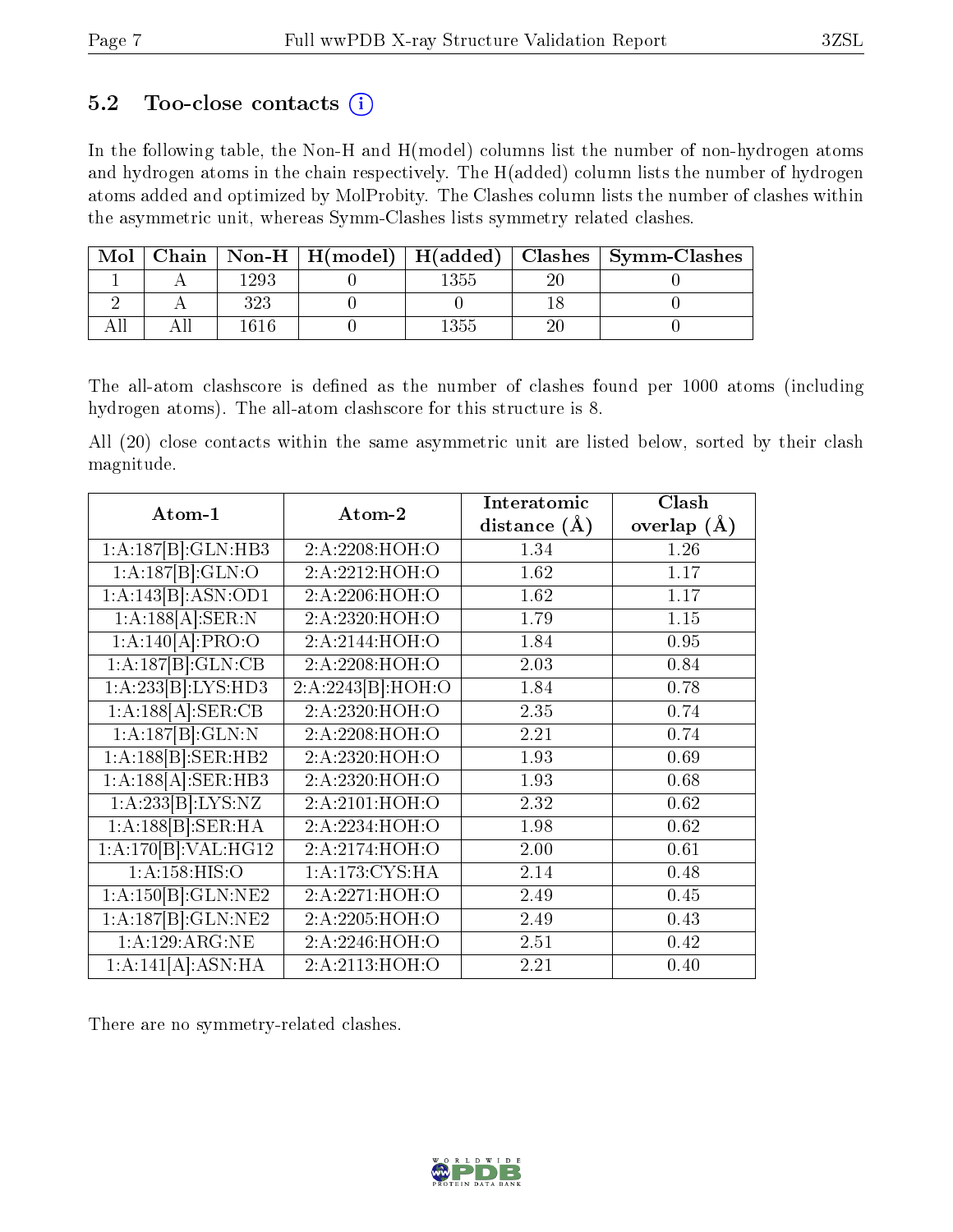### 5.2 Too-close contacts  $(i)$

In the following table, the Non-H and H(model) columns list the number of non-hydrogen atoms and hydrogen atoms in the chain respectively. The H(added) column lists the number of hydrogen atoms added and optimized by MolProbity. The Clashes column lists the number of clashes within the asymmetric unit, whereas Symm-Clashes lists symmetry related clashes.

| Mol |     |          |    | Chain   Non-H   H(model)   H(added)   Clashes   Symm-Clashes |
|-----|-----|----------|----|--------------------------------------------------------------|
|     | 293 | $1355\,$ | Эſ |                                                              |
|     |     |          |    |                                                              |
|     | 616 | 1355     | 9ſ |                                                              |

The all-atom clashscore is defined as the number of clashes found per 1000 atoms (including hydrogen atoms). The all-atom clashscore for this structure is 8.

All (20) close contacts within the same asymmetric unit are listed below, sorted by their clash magnitude.

| Atom-1                          | Atom-2            | Interatomic      | Clash           |
|---------------------------------|-------------------|------------------|-----------------|
|                                 |                   | distance $(\AA)$ | overlap $(\AA)$ |
| 1:A:187[B]:GLN:HB3              | 2:A:2208:HOH:O    | 1.34             | 1.26            |
| 1:A:187[B]:GLN:O                | 2: A:2212: HOH:O  | 1.62             | 1.17            |
| 1:A:143[B]:ASN:OD1              | 2:A:2206:HOH:O    | 1.62             | 1.17            |
| $1:A:188[A]:\text{SER}:N$       | 2:A:2320:HOH:O    | 1.79             | 1.15            |
| 1:A:140[A]:PRO:O                | 2: A:2144: HOH:O  | 1.84             | 0.95            |
| 1:A:187[B]:GLN:CB               | 2:A:2208:HOH:O    | 2.03             | 0.84            |
| 1:A:233[B]:LYS:HD3              | 2:A:2243[B]:HOH:O | 1.84             | 0.78            |
| 1:A:188[A]: <b>SER:CB</b>       | 2: A: 2320: HOH:O | 2.35             | 0.74            |
| 1:A:187[B]:GLN:N                | 2:A:2208:HOH:O    | 2.21             | 0.74            |
| 1:A:188[B]:SER:HB2              | 2:A:2320:HOH:O    | 1.93             | 0.69            |
| 1:A:188[A]:SER:HB3              | 2:A:2320:HOH:O    | 1.93             | 0.68            |
| 1:A:233[B]:LYS:NZ               | 2:A:2101:HOH:O    | 2.32             | 0.62            |
| 1:A:188[B]:SER:HA               | 2:A:2234:HOH:O    | 1.98             | 0.62            |
| 1:A:170[B]:VAL:H <sub>G12</sub> | 2:A:2174:HOH:O    | 2.00             | 0.61            |
| 1: A: 158: HIS: O               | 1:A:173:CYS:HA    | 2.14             | 0.48            |
| 1:A:150[B]:GLN:NE2              | 2:A:2271:HOH:O    | 2.49             | 0.45            |
| 1:A:187[B]:GLN:NE2              | 2:A:2205:HOH:O    | 2.49             | 0.43            |
| 1:A:129:ARG:NE                  | 2:A:2246:HOH:O    | 2.51             | 0.42            |
| 1:A:141[A]:ASN:HA               | 2:A:2113:HOH:O    | 2.21             | 0.40            |

There are no symmetry-related clashes.

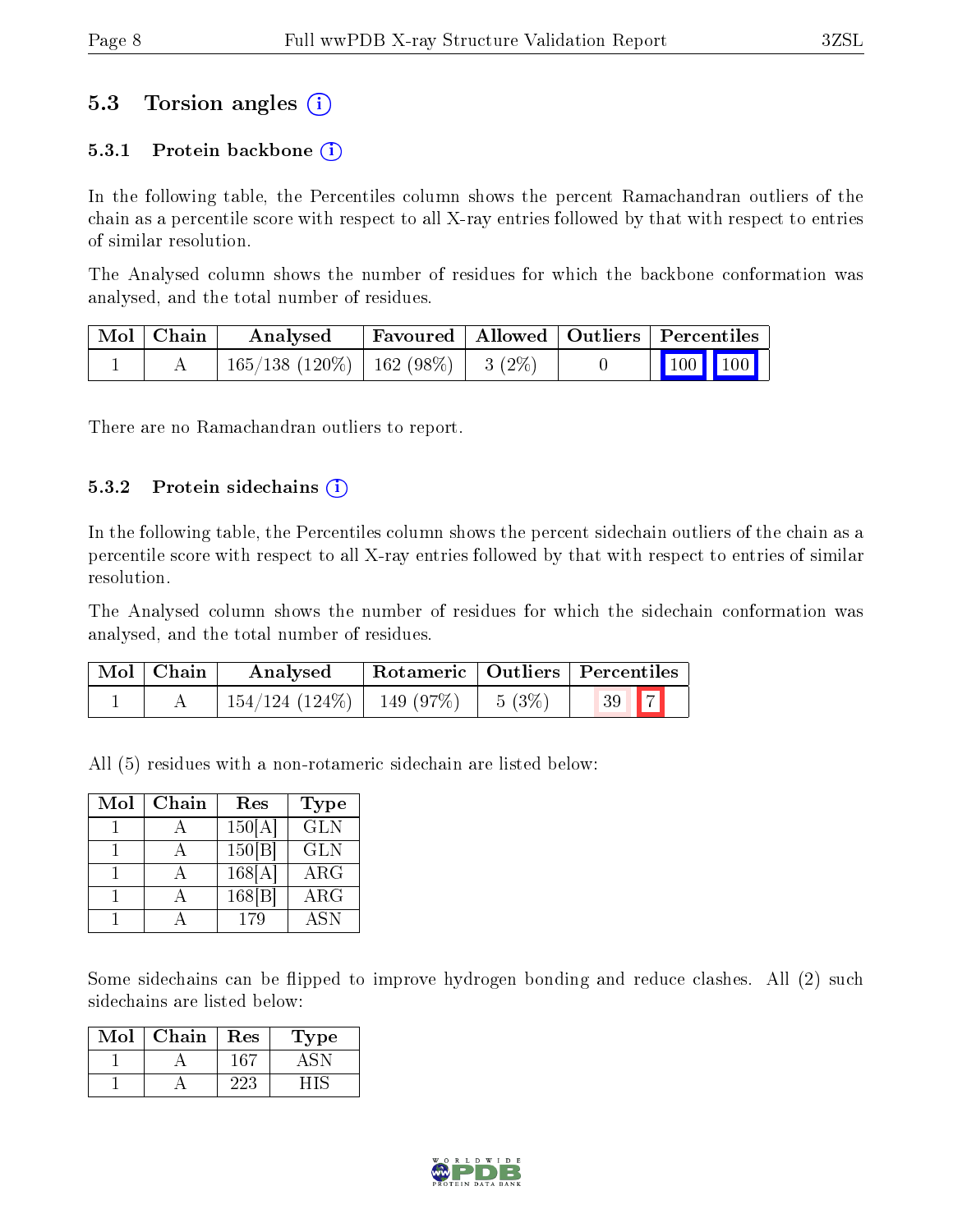### 5.3 Torsion angles (i)

#### 5.3.1 Protein backbone  $(i)$

In the following table, the Percentiles column shows the percent Ramachandran outliers of the chain as a percentile score with respect to all X-ray entries followed by that with respect to entries of similar resolution.

The Analysed column shows the number of residues for which the backbone conformation was analysed, and the total number of residues.

| Mol   Chain | Analysed                                 |  | Favoured   Allowed   Outliers   Percentiles                |
|-------------|------------------------------------------|--|------------------------------------------------------------|
|             | $165/138$ (120\%)   162 (98\%)   3 (2\%) |  | $\begin{array}{ c c c c }\n\hline\n100 & 100\n\end{array}$ |

There are no Ramachandran outliers to report.

#### $5.3.2$  Protein sidechains  $(i)$

In the following table, the Percentiles column shows the percent sidechain outliers of the chain as a percentile score with respect to all X-ray entries followed by that with respect to entries of similar resolution.

The Analysed column shows the number of residues for which the sidechain conformation was analysed, and the total number of residues.

| Mol   Chain | Analysed                           | $\perp$ Rotameric $\parallel$ Outliers $\parallel$ Percentiles |          |      |
|-------------|------------------------------------|----------------------------------------------------------------|----------|------|
|             | $154/124$ $(124\%)$   149 $(97\%)$ |                                                                | $5(3\%)$ | 39 7 |

All (5) residues with a non-rotameric sidechain are listed below:

| Mol | Chain | Res                     | Type       |
|-----|-------|-------------------------|------------|
|     |       | $150 \overline{\rm A} $ | <b>GLN</b> |
|     |       | 150 B                   | <b>GLN</b> |
|     |       | 168[A]                  | $\rm{ARG}$ |
|     |       | 168 B                   | ARG        |
|     |       | 179                     | <b>ASN</b> |

Some sidechains can be flipped to improve hydrogen bonding and reduce clashes. All (2) such sidechains are listed below:

| Mol | Chain | Res  | Type |
|-----|-------|------|------|
|     |       | -167 |      |
|     |       | 223. |      |

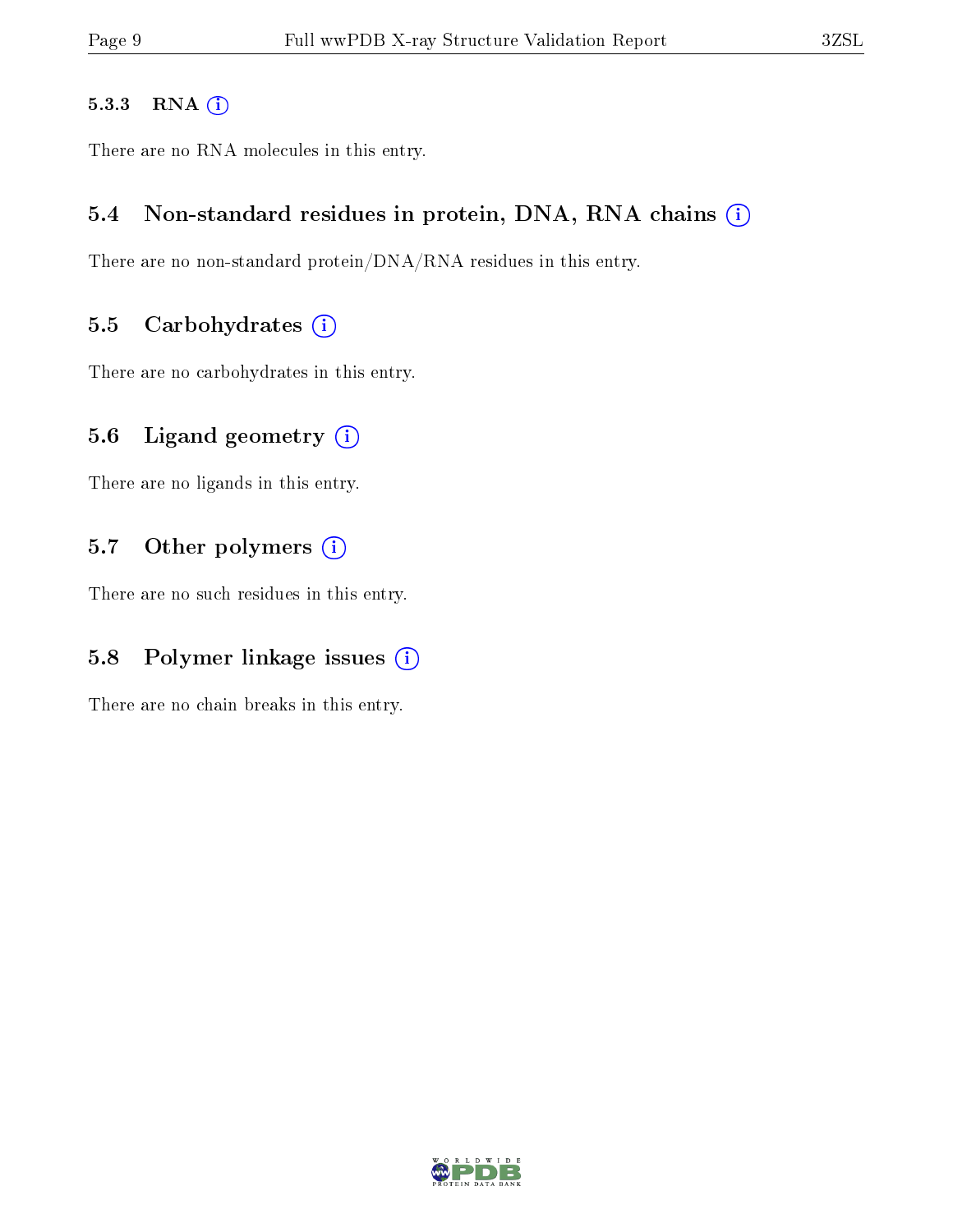#### 5.3.3 RNA [O](https://www.wwpdb.org/validation/2017/XrayValidationReportHelp#rna)i

There are no RNA molecules in this entry.

#### 5.4 Non-standard residues in protein, DNA, RNA chains (i)

There are no non-standard protein/DNA/RNA residues in this entry.

#### 5.5 Carbohydrates  $(i)$

There are no carbohydrates in this entry.

### 5.6 Ligand geometry  $(i)$

There are no ligands in this entry.

### 5.7 [O](https://www.wwpdb.org/validation/2017/XrayValidationReportHelp#nonstandard_residues_and_ligands)ther polymers (i)

There are no such residues in this entry.

### 5.8 Polymer linkage issues  $(i)$

There are no chain breaks in this entry.